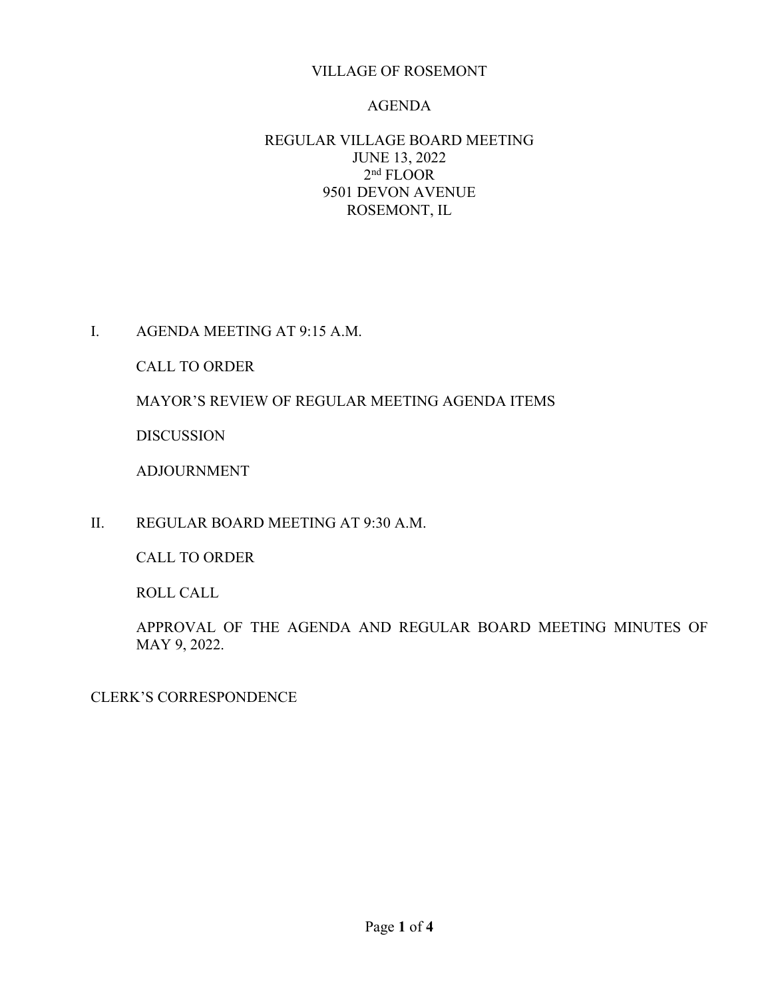## VILLAGE OF ROSEMONT

#### AGENDA

## REGULAR VILLAGE BOARD MEETING JUNE 13, 2022 2nd FLOOR 9501 DEVON AVENUE ROSEMONT, IL

I. AGENDA MEETING AT 9:15 A.M.

CALL TO ORDER

MAYOR'S REVIEW OF REGULAR MEETING AGENDA ITEMS

DISCUSSION

ADJOURNMENT

II. REGULAR BOARD MEETING AT 9:30 A.M.

CALL TO ORDER

ROLL CALL

APPROVAL OF THE AGENDA AND REGULAR BOARD MEETING MINUTES OF MAY 9, 2022.

CLERK'S CORRESPONDENCE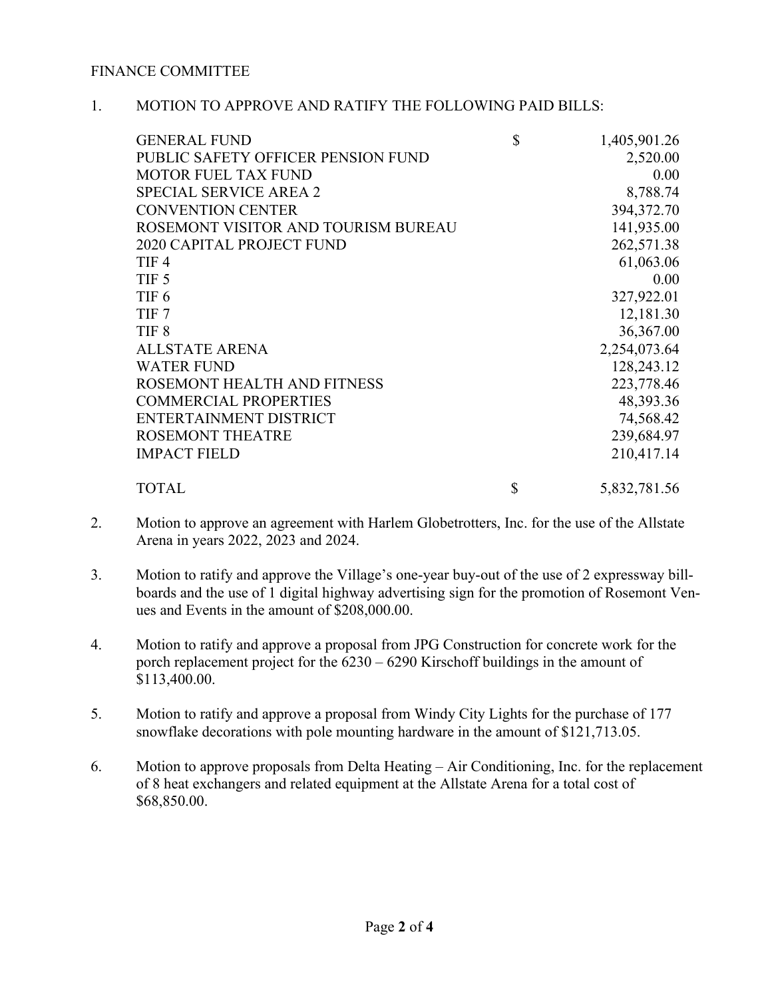#### FINANCE COMMITTEE

#### 1. MOTION TO APPROVE AND RATIFY THE FOLLOWING PAID BILLS:

| <b>GENERAL FUND</b>                 | \$<br>1,405,901.26 |
|-------------------------------------|--------------------|
| PUBLIC SAFETY OFFICER PENSION FUND  | 2,520.00           |
| <b>MOTOR FUEL TAX FUND</b>          | 0.00               |
| <b>SPECIAL SERVICE AREA 2</b>       | 8,788.74           |
| <b>CONVENTION CENTER</b>            | 394,372.70         |
| ROSEMONT VISITOR AND TOURISM BUREAU | 141,935.00         |
| <b>2020 CAPITAL PROJECT FUND</b>    | 262,571.38         |
| TIF <sub>4</sub>                    | 61,063.06          |
| TIF <sub>5</sub>                    | 0.00               |
| TIF <sub>6</sub>                    | 327,922.01         |
| TIF <sub>7</sub>                    | 12,181.30          |
| TIF <sub>8</sub>                    | 36,367.00          |
| <b>ALLSTATE ARENA</b>               | 2,254,073.64       |
| <b>WATER FUND</b>                   | 128,243.12         |
| ROSEMONT HEALTH AND FITNESS         | 223,778.46         |
| <b>COMMERCIAL PROPERTIES</b>        | 48,393.36          |
| ENTERTAINMENT DISTRICT              | 74,568.42          |
| <b>ROSEMONT THEATRE</b>             | 239,684.97         |
| <b>IMPACT FIELD</b>                 | 210,417.14         |
| <b>TOTAL</b>                        | \$<br>5,832,781.56 |

- 2. Motion to approve an agreement with Harlem Globetrotters, Inc. for the use of the Allstate Arena in years 2022, 2023 and 2024.
- 3. Motion to ratify and approve the Village's one-year buy-out of the use of 2 expressway billboards and the use of 1 digital highway advertising sign for the promotion of Rosemont Venues and Events in the amount of \$208,000.00.
- 4. Motion to ratify and approve a proposal from JPG Construction for concrete work for the porch replacement project for the 6230 – 6290 Kirschoff buildings in the amount of \$113,400.00.
- 5. Motion to ratify and approve a proposal from Windy City Lights for the purchase of 177 snowflake decorations with pole mounting hardware in the amount of \$121,713.05.
- 6. Motion to approve proposals from Delta Heating Air Conditioning, Inc. for the replacement of 8 heat exchangers and related equipment at the Allstate Arena for a total cost of \$68,850.00.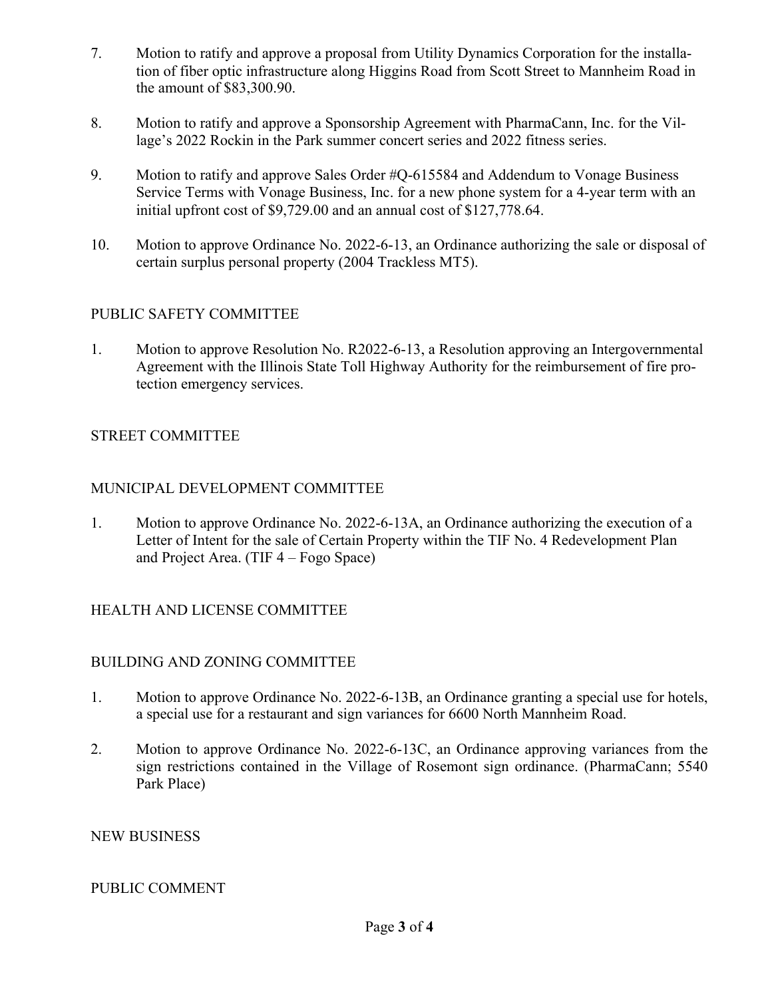- 7. Motion to ratify and approve a proposal from Utility Dynamics Corporation for the installation of fiber optic infrastructure along Higgins Road from Scott Street to Mannheim Road in the amount of \$83,300.90.
- 8. Motion to ratify and approve a Sponsorship Agreement with PharmaCann, Inc. for the Village's 2022 Rockin in the Park summer concert series and 2022 fitness series.
- 9. Motion to ratify and approve Sales Order #Q-615584 and Addendum to Vonage Business Service Terms with Vonage Business, Inc. for a new phone system for a 4-year term with an initial upfront cost of \$9,729.00 and an annual cost of \$127,778.64.
- 10. Motion to approve Ordinance No. 2022-6-13, an Ordinance authorizing the sale or disposal of certain surplus personal property (2004 Trackless MT5).

# PUBLIC SAFETY COMMITTEE

1. Motion to approve Resolution No. R2022-6-13, a Resolution approving an Intergovernmental Agreement with the Illinois State Toll Highway Authority for the reimbursement of fire protection emergency services.

# STREET COMMITTEE

## MUNICIPAL DEVELOPMENT COMMITTEE

1. Motion to approve Ordinance No. 2022-6-13A, an Ordinance authorizing the execution of a Letter of Intent for the sale of Certain Property within the TIF No. 4 Redevelopment Plan and Project Area. (TIF 4 – Fogo Space)

# HEALTH AND LICENSE COMMITTEE

## BUILDING AND ZONING COMMITTEE

- 1. Motion to approve Ordinance No. 2022-6-13B, an Ordinance granting a special use for hotels, a special use for a restaurant and sign variances for 6600 North Mannheim Road.
- 2. Motion to approve Ordinance No. 2022-6-13C, an Ordinance approving variances from the sign restrictions contained in the Village of Rosemont sign ordinance. (PharmaCann; 5540 Park Place)

#### NEW BUSINESS

## PUBLIC COMMENT